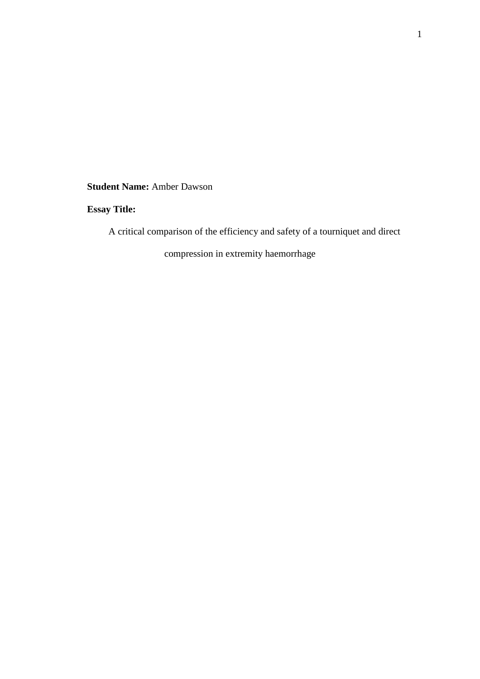**Student Name:** Amber Dawson

# **Essay Title:**

A critical comparison of the efficiency and safety of a tourniquet and direct

compression in extremity haemorrhage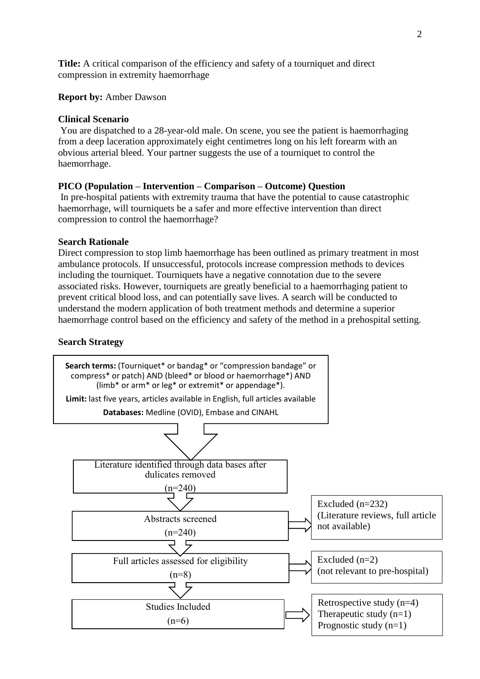**Title:** A critical comparison of the efficiency and safety of a tourniquet and direct compression in extremity haemorrhage

## **Report by:** Amber Dawson

## **Clinical Scenario**

You are dispatched to a 28-year-old male. On scene, you see the patient is haemorrhaging from a deep laceration approximately eight centimetres long on his left forearm with an obvious arterial bleed. Your partner suggests the use of a tourniquet to control the haemorrhage.

### **PICO (Population – Intervention – Comparison – Outcome) Question**

In pre-hospital patients with extremity trauma that have the potential to cause catastrophic haemorrhage, will tourniquets be a safer and more effective intervention than direct compression to control the haemorrhage?

#### **Search Rationale**

Direct compression to stop limb haemorrhage has been outlined as primary treatment in most ambulance protocols. If unsuccessful, protocols increase compression methods to devices including the tourniquet. Tourniquets have a negative connotation due to the severe associated risks. However, tourniquets are greatly beneficial to a haemorrhaging patient to prevent critical blood loss, and can potentially save lives. A search will be conducted to understand the modern application of both treatment methods and determine a superior haemorrhage control based on the efficiency and safety of the method in a prehospital setting.

#### **Search Strategy**

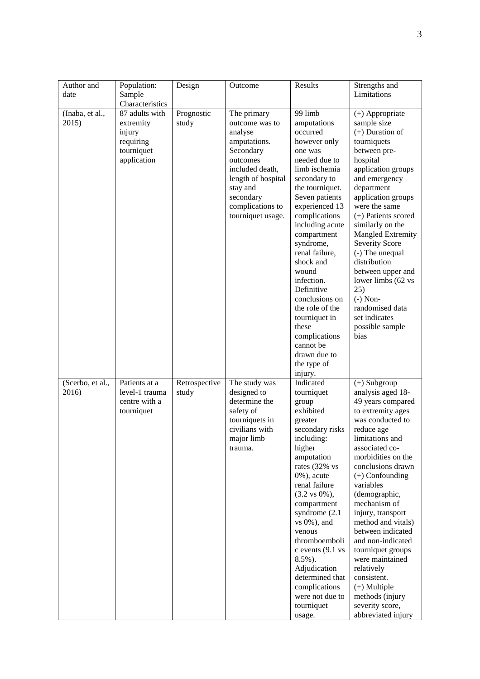| Author and<br>date        | Population:<br>Sample<br>Characteristics                                        | Design                 | Outcome                                                                                                                                                                                      | Results                                                                                                                                                                                                                                                                                                                                                                                                                                           | Strengths and<br>Limitations                                                                                                                                                                                                                                                                                                                                                                                                                                                                               |
|---------------------------|---------------------------------------------------------------------------------|------------------------|----------------------------------------------------------------------------------------------------------------------------------------------------------------------------------------------|---------------------------------------------------------------------------------------------------------------------------------------------------------------------------------------------------------------------------------------------------------------------------------------------------------------------------------------------------------------------------------------------------------------------------------------------------|------------------------------------------------------------------------------------------------------------------------------------------------------------------------------------------------------------------------------------------------------------------------------------------------------------------------------------------------------------------------------------------------------------------------------------------------------------------------------------------------------------|
| (Inaba, et al.,<br>2015)  | 87 adults with<br>extremity<br>injury<br>requiring<br>tourniquet<br>application | Prognostic<br>study    | The primary<br>outcome was to<br>analyse<br>amputations.<br>Secondary<br>outcomes<br>included death,<br>length of hospital<br>stay and<br>secondary<br>complications to<br>tourniquet usage. | 99 limb<br>amputations<br>occurred<br>however only<br>one was<br>needed due to<br>limb ischemia<br>secondary to<br>the tourniquet.<br>Seven patients<br>experienced 13<br>complications<br>including acute<br>compartment<br>syndrome,<br>renal failure,<br>shock and<br>wound<br>infection.<br>Definitive<br>conclusions on<br>the role of the<br>tourniquet in<br>these<br>complications<br>cannot be<br>drawn due to<br>the type of<br>injury. | (+) Appropriate<br>sample size<br>$(+)$ Duration of<br>tourniquets<br>between pre-<br>hospital<br>application groups<br>and emergency<br>department<br>application groups<br>were the same<br>(+) Patients scored<br>similarly on the<br><b>Mangled Extremity</b><br>Severity Score<br>(-) The unequal<br>distribution<br>between upper and<br>lower limbs (62 vs<br>25)<br>$(-)$ Non-<br>randomised data<br>set indicates<br>possible sample<br>bias                                                      |
| (Scerbo, et al.,<br>2016) | Patients at a<br>level-1 trauma<br>centre with a<br>tourniquet                  | Retrospective<br>study | The study was<br>designed to<br>determine the<br>safety of<br>tourniquets in<br>civilians with<br>major limb<br>trauma.                                                                      | Indicated<br>tourniquet<br>group<br>exhibited<br>greater<br>secondary risks<br>including:<br>higher<br>amputation<br>rates (32% vs<br>$0\%$ ), acute<br>renal failure<br>$(3.2 \text{ vs } 0\%),$<br>compartment<br>syndrome (2.1)<br>$vs 0\%$ ), and<br>venous<br>thromboemboli<br>c events (9.1 vs<br>8.5%).<br>Adjudication<br>determined that<br>complications<br>were not due to<br>tourniquet<br>usage.                                     | $(+)$ Subgroup<br>analysis aged 18-<br>49 years compared<br>to extremity ages<br>was conducted to<br>reduce age<br>limitations and<br>associated co-<br>morbidities on the<br>conclusions drawn<br>$(+)$ Confounding<br>variables<br>(demographic,<br>mechanism of<br>injury, transport<br>method and vitals)<br>between indicated<br>and non-indicated<br>tourniquet groups<br>were maintained<br>relatively<br>consistent.<br>$(+)$ Multiple<br>methods (injury<br>severity score,<br>abbreviated injury |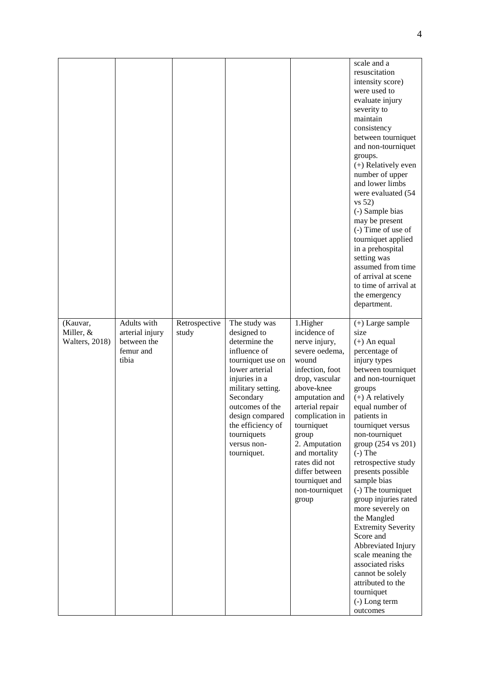|                        |                 |               |                                 |                                   | scale and a                          |
|------------------------|-----------------|---------------|---------------------------------|-----------------------------------|--------------------------------------|
|                        |                 |               |                                 |                                   | resuscitation                        |
|                        |                 |               |                                 |                                   | intensity score)                     |
|                        |                 |               |                                 |                                   | were used to                         |
|                        |                 |               |                                 |                                   | evaluate injury                      |
|                        |                 |               |                                 |                                   | severity to<br>maintain              |
|                        |                 |               |                                 |                                   | consistency                          |
|                        |                 |               |                                 |                                   | between tourniquet                   |
|                        |                 |               |                                 |                                   | and non-tourniquet                   |
|                        |                 |               |                                 |                                   | groups.                              |
|                        |                 |               |                                 |                                   | (+) Relatively even                  |
|                        |                 |               |                                 |                                   | number of upper                      |
|                        |                 |               |                                 |                                   | and lower limbs                      |
|                        |                 |               |                                 |                                   | were evaluated (54                   |
|                        |                 |               |                                 |                                   | vs 52)                               |
|                        |                 |               |                                 |                                   | (-) Sample bias<br>may be present    |
|                        |                 |               |                                 |                                   | (-) Time of use of                   |
|                        |                 |               |                                 |                                   | tourniquet applied                   |
|                        |                 |               |                                 |                                   | in a prehospital                     |
|                        |                 |               |                                 |                                   | setting was                          |
|                        |                 |               |                                 |                                   | assumed from time                    |
|                        |                 |               |                                 |                                   | of arrival at scene                  |
|                        |                 |               |                                 |                                   | to time of arrival at                |
|                        |                 |               |                                 |                                   | the emergency                        |
|                        |                 |               |                                 |                                   | department.                          |
| (Kauvar,               | Adults with     | Retrospective | The study was                   | 1.Higher                          | $(+)$ Large sample                   |
| Miller, &              | arterial injury | study         | designed to                     | incidence of                      | size                                 |
| <b>Walters</b> , 2018) | between the     |               | determine the                   | nerve injury,                     | $(+)$ An equal                       |
|                        | femur and       |               | influence of                    | severe oedema,                    | percentage of                        |
|                        | tibia           |               | tourniquet use on               | wound                             | injury types                         |
|                        |                 |               | lower arterial<br>injuries in a | infection, foot<br>drop, vascular | between tourniquet                   |
|                        |                 |               | military setting.               | above-knee                        | and non-tourniquet<br>groups         |
|                        |                 |               | Secondary                       | amputation and                    | $(+)$ A relatively                   |
|                        |                 |               | outcomes of the                 | arterial repair                   | equal number of                      |
|                        |                 |               | design compared                 | complication in                   | patients in                          |
|                        |                 |               | the efficiency of               | tourniquet                        | tourniquet versus                    |
|                        |                 |               | tourniquets                     | group                             | non-tourniquet                       |
|                        |                 |               | versus non-                     | 2. Amputation                     | group (254 vs 201)                   |
|                        |                 |               | tourniquet.                     | and mortality                     | $(-)$ The                            |
|                        |                 |               |                                 | rates did not                     | retrospective study                  |
|                        |                 |               |                                 | differ between<br>tourniquet and  | presents possible<br>sample bias     |
|                        |                 |               |                                 | non-tourniquet                    | (-) The tourniquet                   |
|                        |                 |               |                                 | group                             | group injuries rated                 |
|                        |                 |               |                                 |                                   | more severely on                     |
|                        |                 |               |                                 |                                   | the Mangled                          |
|                        |                 |               |                                 |                                   | <b>Extremity Severity</b>            |
|                        |                 |               |                                 |                                   | Score and                            |
|                        |                 |               |                                 |                                   | Abbreviated Injury                   |
|                        |                 |               |                                 |                                   | scale meaning the                    |
|                        |                 |               |                                 |                                   | associated risks<br>cannot be solely |
|                        |                 |               |                                 |                                   | attributed to the                    |
|                        |                 |               |                                 |                                   | tourniquet                           |
|                        |                 |               |                                 |                                   | (-) Long term                        |
|                        |                 |               |                                 |                                   | outcomes                             |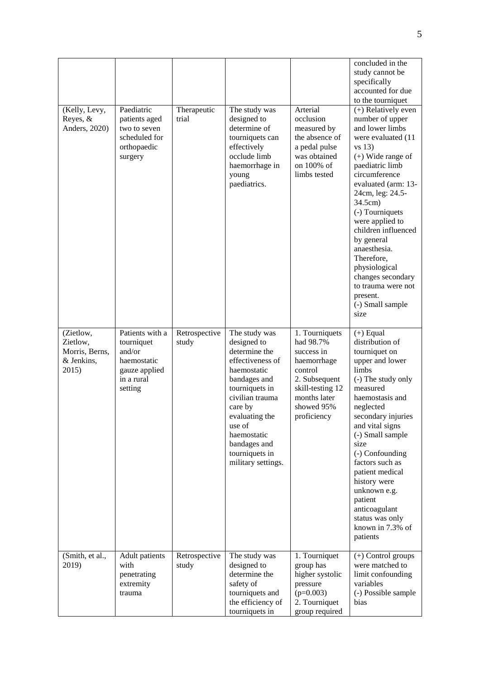| (Kelly, Levy,<br>Reyes, &<br>Anders, 2020)                     | Paediatric<br>patients aged<br>two to seven<br>scheduled for<br>orthopaedic<br>surgery           | Therapeutic<br>trial   | The study was<br>designed to<br>determine of<br>tourniquets can<br>effectively<br>occlude limb<br>haemorrhage in<br>young<br>paediatrics.                                                                                                           | Arterial<br>occlusion<br>measured by<br>the absence of<br>a pedal pulse<br>was obtained<br>on 100% of<br>limbs tested                                 | concluded in the<br>study cannot be<br>specifically<br>accounted for due<br>to the tourniquet<br>(+) Relatively even<br>number of upper<br>and lower limbs<br>were evaluated (11<br>$vs$ 13)<br>$(+)$ Wide range of<br>paediatric limb<br>circumference<br>evaluated (arm: 13-<br>24cm, leg: 24.5-<br>34.5cm)<br>(-) Tourniquets<br>were applied to<br>children influenced<br>by general<br>anaesthesia.<br>Therefore,<br>physiological<br>changes secondary<br>to trauma were not<br>present.<br>(-) Small sample<br>size |
|----------------------------------------------------------------|--------------------------------------------------------------------------------------------------|------------------------|-----------------------------------------------------------------------------------------------------------------------------------------------------------------------------------------------------------------------------------------------------|-------------------------------------------------------------------------------------------------------------------------------------------------------|----------------------------------------------------------------------------------------------------------------------------------------------------------------------------------------------------------------------------------------------------------------------------------------------------------------------------------------------------------------------------------------------------------------------------------------------------------------------------------------------------------------------------|
| (Zietlow,<br>Zietlow,<br>Morris, Berns,<br>& Jenkins,<br>2015) | Patients with a<br>tourniquet<br>and/or<br>haemostatic<br>gauze applied<br>in a rural<br>setting | Retrospective<br>study | The study was<br>designed to<br>determine the<br>effectiveness of<br>haemostatic<br>bandages and<br>tourniquets in<br>civilian trauma<br>care by<br>evaluating the<br>use of<br>haemostatic<br>bandages and<br>tourniquets in<br>military settings. | 1. Tourniquets<br>had 98.7%<br>success in<br>haemorrhage<br>control<br>2. Subsequent<br>skill-testing 12<br>months later<br>showed 95%<br>proficiency | $(+)$ Equal<br>distribution of<br>tourniquet on<br>upper and lower<br>limbs<br>(-) The study only<br>measured<br>haemostasis and<br>neglected<br>secondary injuries<br>and vital signs<br>(-) Small sample<br>size<br>(-) Confounding<br>factors such as<br>patient medical<br>history were<br>unknown e.g.<br>patient<br>anticoagulant<br>status was only<br>known in $7.3\%$ of<br>patients                                                                                                                              |
| (Smith, et al.,<br>2019)                                       | Adult patients<br>with<br>penetrating<br>extremity<br>trauma                                     | Retrospective<br>study | The study was<br>designed to<br>determine the<br>safety of<br>tourniquets and<br>the efficiency of<br>tourniquets in                                                                                                                                | 1. Tourniquet<br>group has<br>higher systolic<br>pressure<br>$(p=0.003)$<br>2. Tourniquet<br>group required                                           | (+) Control groups<br>were matched to<br>limit confounding<br>variables<br>(-) Possible sample<br>bias                                                                                                                                                                                                                                                                                                                                                                                                                     |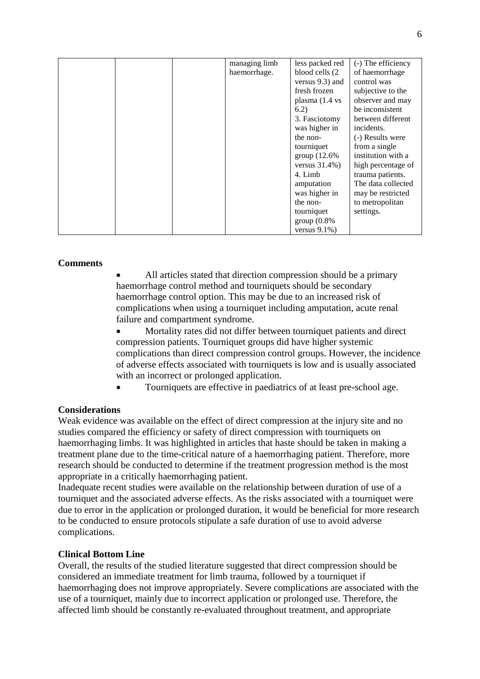|  | managing limb | less packed red           | (-) The efficiency |
|--|---------------|---------------------------|--------------------|
|  | haemorrhage.  | blood cells (2)           | of haemorrhage     |
|  |               | versus 9.3) and           | control was        |
|  |               | fresh frozen              | subjective to the  |
|  |               | plasma $(1.4 \text{ vs }$ | observer and may   |
|  |               | 6.2)                      | be inconsistent    |
|  |               | 3. Fasciotomy             | between different  |
|  |               | was higher in             | incidents.         |
|  |               | the non-                  | (-) Results were   |
|  |               | tourniquet                | from a single      |
|  |               | group $(12.6\%$           | institution with a |
|  |               | versus $31.4\%$ )         | high percentage of |
|  |               | 4. Limb                   | trauma patients.   |
|  |               | amputation                | The data collected |
|  |               | was higher in             | may be restricted  |
|  |               | the non-                  | to metropolitan    |
|  |               | tourniquet                | settings.          |
|  |               | $group(0.8\%)$            |                    |
|  |               | versus $9.1\%$ )          |                    |

## **Comments**

 All articles stated that direction compression should be a primary haemorrhage control method and tourniquets should be secondary haemorrhage control option. This may be due to an increased risk of complications when using a tourniquet including amputation, acute renal failure and compartment syndrome.

 Mortality rates did not differ between tourniquet patients and direct compression patients. Tourniquet groups did have higher systemic complications than direct compression control groups. However, the incidence of adverse effects associated with tourniquets is low and is usually associated with an incorrect or prolonged application.

Tourniquets are effective in paediatrics of at least pre-school age.

## **Considerations**

Weak evidence was available on the effect of direct compression at the injury site and no studies compared the efficiency or safety of direct compression with tourniquets on haemorrhaging limbs. It was highlighted in articles that haste should be taken in making a treatment plane due to the time-critical nature of a haemorrhaging patient. Therefore, more research should be conducted to determine if the treatment progression method is the most appropriate in a critically haemorrhaging patient.

Inadequate recent studies were available on the relationship between duration of use of a tourniquet and the associated adverse effects. As the risks associated with a tourniquet were due to error in the application or prolonged duration, it would be beneficial for more research to be conducted to ensure protocols stipulate a safe duration of use to avoid adverse complications.

## **Clinical Bottom Line**

Overall, the results of the studied literature suggested that direct compression should be considered an immediate treatment for limb trauma, followed by a tourniquet if haemorrhaging does not improve appropriately. Severe complications are associated with the use of a tourniquet, mainly due to incorrect application or prolonged use. Therefore, the affected limb should be constantly re-evaluated throughout treatment, and appropriate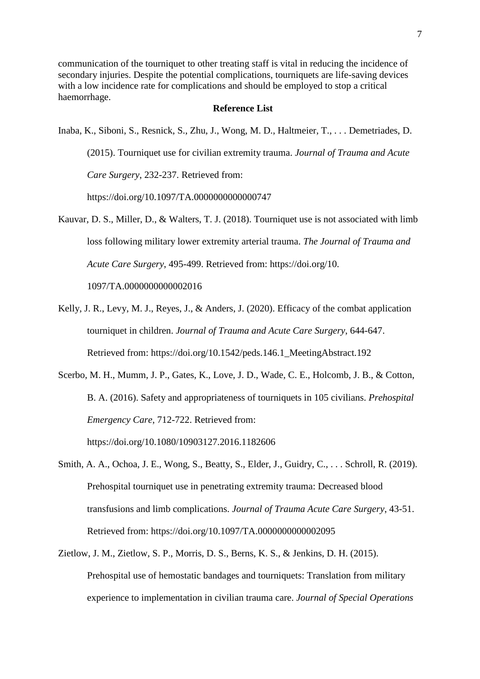communication of the tourniquet to other treating staff is vital in reducing the incidence of secondary injuries. Despite the potential complications, tourniquets are life-saving devices with a low incidence rate for complications and should be employed to stop a critical haemorrhage.

#### **Reference List**

Inaba, K., Siboni, S., Resnick, S., Zhu, J., Wong, M. D., Haltmeier, T., . . . Demetriades, D.

(2015). Tourniquet use for civilian extremity trauma. *Journal of Trauma and Acute Care Surgery*, 232-237. Retrieved from:

https://doi.org/10.1097/TA.0000000000000747

- Kauvar, D. S., Miller, D., & Walters, T. J. (2018). Tourniquet use is not associated with limb loss following military lower extremity arterial trauma. *The Journal of Trauma and Acute Care Surgery*, 495-499. Retrieved from: https://doi.org/10. 1097/TA.0000000000002016
- Kelly, J. R., Levy, M. J., Reyes, J., & Anders, J. (2020). Efficacy of the combat application tourniquet in children. *Journal of Trauma and Acute Care Surgery*, 644-647. Retrieved from: https://doi.org/10.1542/peds.146.1\_MeetingAbstract.192
- Scerbo, M. H., Mumm, J. P., Gates, K., Love, J. D., Wade, C. E., Holcomb, J. B., & Cotton, B. A. (2016). Safety and appropriateness of tourniquets in 105 civilians. *Prehospital Emergency Care*, 712-722. Retrieved from:

https://doi.org/10.1080/10903127.2016.1182606

- Smith, A. A., Ochoa, J. E., Wong, S., Beatty, S., Elder, J., Guidry, C., . . . Schroll, R. (2019). Prehospital tourniquet use in penetrating extremity trauma: Decreased blood transfusions and limb complications. *Journal of Trauma Acute Care Surgery*, 43-51. Retrieved from: https://doi.org/10.1097/TA.0000000000002095
- Zietlow, J. M., Zietlow, S. P., Morris, D. S., Berns, K. S., & Jenkins, D. H. (2015). Prehospital use of hemostatic bandages and tourniquets: Translation from military experience to implementation in civilian trauma care. *Journal of Special Operations*